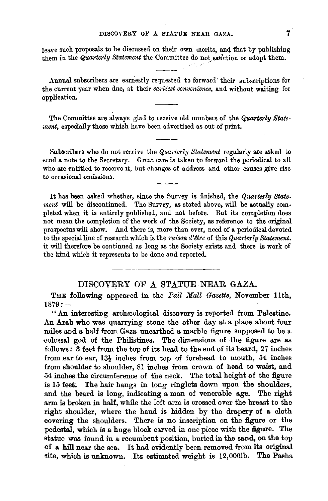leave such proposals to be discussed on their own merits, and that by publishing them in the *Quarterly Statement* the Committee do not sanction or adopt them.

Annual subscribers are earnestly requested to forward' their subscriptions for the current year when due, at their *earliest convenience,* and without waiting for applieation.

The Committee are always glad to receive old numbers of the *Quarterly Statement,* especially those which have been advertised as out of print.

Subscribers who do not receive the *Quarterly Statement* regularly are asked to send a note to the Secretary. Great care is taken to forward the periodical to all who are entitled to receive it, but changes of address and other causes give rise to occasional omissions.

It has been asked whether, since the Survey is finished, the *Quarterly Statement* will be discontinued. The Survey, as stated above, will be actually com· pleted when it is entirely published, and not before. But its completion does not mean the completion of the work of the Society, as reference to the original prospectus will show. And there is, more than ever, need of a periodical devoted to the special line of research which is the *raison d'etre* of this *Quarterly Statement.*  it will therefore be continued as long as the Society exists and there is work of the kind which it represents to be done and reported.

## DISCOVERY OF A STATUE NEAR GAZA.

THE following appeared in the *Pall Mall Gazette,* November 11th,  $1879:$ 

" An interesting archaeological discovery is reported from Palestine. An Arab who was quarrying stone the other day at a place about four miles and a half from Gaza unearthed a marble figure supposed to be a colossal god of the Philistines. The dimensions of the figure are as follows: 3 feet from the top of its head to the end of its beard, 27 inches from ear to ear,  $13\frac{1}{2}$  inches from top of forehead to mouth, 54 inches from shoulder to shoulder, 81 inches from crown of head to waist, and -54 inches the circumference of the neck. The total height of the figure is 15 feet. The hair hangs in long ringlets down upon the shoulders, and the beard is long, indicating a man of venerable age. The right arm is broken in half, while the left arm is crossed over the breast to the right shoulder, where the hand is hidden by the drapery of a cloth covering the shoulders. There is no inscription on the figure or the pedestal, which is a huge block carved in one piece with the figure. The statue was found in a recumbent position, buried in the sand, on the top atue was found in a recumbent position, buried in the sand, on the top<br>f a hill near the sea. It had evidently been removed from its original<br>ite, which is unknown. Its estimated weight is 12,000lb. The Pasha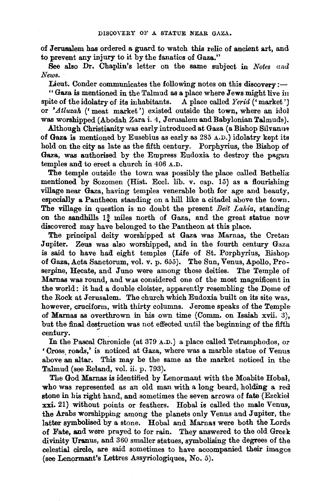of Jerusalem has ordered a guard to watch this relic of ancient art, and to prevent any injury to it by the fanatics of Gaza."

See also Dr. Chaplin's letter on the same subject in *Notes and News.* 

Lieut. Conder communicates the following notes on this discovery:-

" Gaza is mentioned in the Talmud as a place where Jews might live in spite of the idolatry of its inhabitants. A place called *Yerid*  $($ <sup>c</sup> market') or *'.Atluzah* ('meat market') existed outside the town, where an idol was worshipped (Abodah Zara i. 4, Jerusalem and Babylonian Talmuds).

Although Christianity was early introduced at Gaza (a Bishop Silvanus of Gaza. is mentioned by Eusebius as early as 285 A.D.) idolatry kept its hold on the city as late as the fifth century. Porphyrius, the Bishop of Gaza, was authorised by the Empress Eudoxia to destroy the pagan temples and to erect a church in 406 A.D.

The temple outside the town was possibly the place called Bethelia mentioned by Sozomen (Hist. Eccl. lib. v. cap.  $15$ ) as a flourishing village near Gaza, having temples venerable both for age and beauty, especially a Pantheon standing on a hill like a citadel above the town. The village in question is no doubt the present *Beit Lahia*, standing on the sandhills  $1\frac{3}{4}$  miles north of Gaza, and the great statue now discovered may have belonged to the Pantheon at this place.

The principal deity worshipped at Gaza was Marnas, the Cretan Jupiter. Zeus was also worshipped, and in the fourth century Gaza is said to have had eight temples (Life of St. Porphyrius, Bishop of Gaza, Acta Sanctorum, vol. v. p. *655).* The Sun, Venus, Apollo, Proserpine, Hecate, and Juno were among these deities. The Temple of Marnas was round, and was considered one of the most magnificent in the world: it had a double cloister, apparently resembling the Dome of the Rock at Jerusalem. The church which Eudoxia built on its site was, however, cruciform, with thirty columns. Jerome speaks of the Temple of Marnas as overthrown in his own time (Comm. on Isaiah xvii.  $3$ ), but the final destruction was not effected until the beginning of the fifth century.

In the Pascal Chronicle (at 379 A.D.) a place called Tetramphodos, or 'Cross. roads,' is noticed at Gaza, where was a marble statue of Venus above an altar. This may be the same as the market noticed in the Talmud (see Reland, vol. ii. p. 793).

The God Mamas is identified by Lenormant with the Moabite Hobal, who was represented as an old man with a long beard, holding a red stone in his right hand, and sometimes the seven arrows of fate (Ezekiei xxi. 21) without points or feathers. Hobal is called the male Venus, the Arabs worshipping among the planets only Venus and Jupiter, the latter symbolised by a stone. Hobal and Marnas were both the Lords of Fate, and were prayed to for rain. They answered to the old Greek divinity Uranus, and 360 smaller statues, symbolising the degrees of the celestial circle, are said sometimes to have accompanied their images (see Lenormant's Lettres Assyriologiques, No. 5).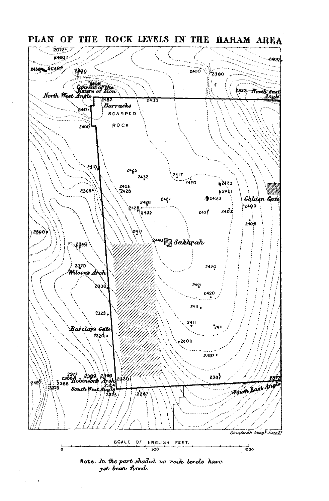

yet been fixed.